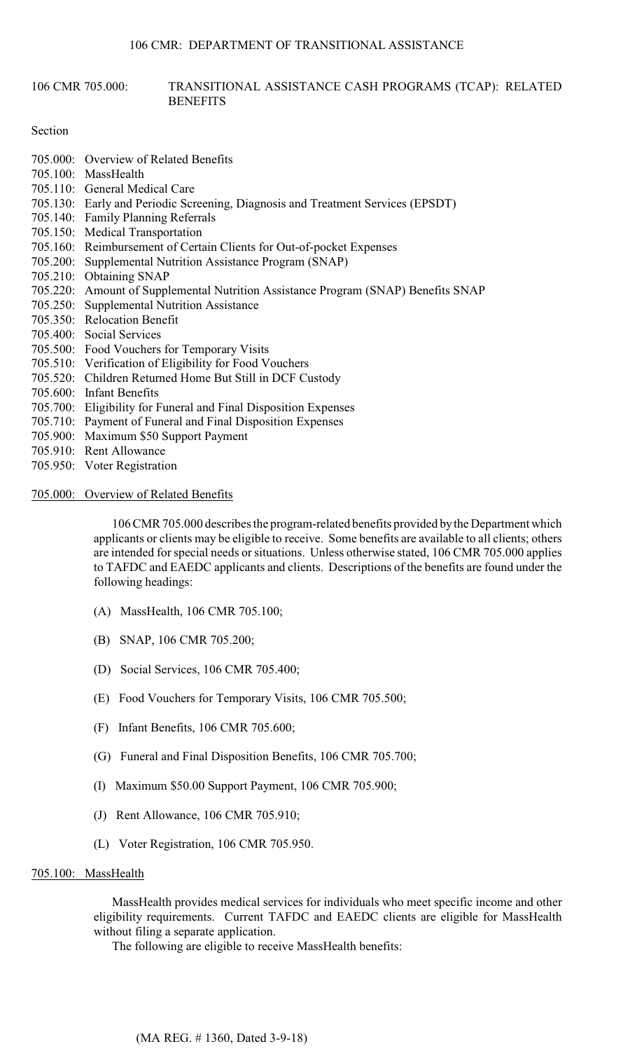#### 106 CMR 705.000: TRANSITIONAL ASSISTANCE CASH PROGRAMS (TCAP): RELATED **BENEFITS**

#### Section

- 705.000: Overview of Related Benefits
- 705.100: MassHealth
- 705.110: General Medical Care
- 705.130: Early and Periodic Screening, Diagnosis and Treatment Services (EPSDT)
- 705.140: Family Planning Referrals
- 705.150: Medical Transportation
- 705.160: Reimbursement of Certain Clients for Out-of-pocket Expenses
- 705.200: Supplemental Nutrition Assistance Program (SNAP)
- 705.210: Obtaining SNAP
- 705.220: Amount of Supplemental Nutrition Assistance Program (SNAP) Benefits SNAP
- 705.250: Supplemental Nutrition Assistance
- 705.350: Relocation Benefit
- 705.400: Social Services
- 705.500: Food Vouchers for Temporary Visits
- 705.510: Verification of Eligibility for Food Vouchers
- 705.520: Children Returned Home But Still in DCF Custody
- 705.600: Infant Benefits
- 705.700: Eligibility for Funeral and Final Disposition Expenses
- 705.710: Payment of Funeral and Final Disposition Expenses
- 705.900: Maximum \$50 Support Payment
- 705.910: Rent Allowance
- 705.950: Voter Registration
- 705.000: Overview of Related Benefits

106 CMR 705.000 describes the program-related benefits provided by the Department which applicants or clients may be eligible to receive. Some benefits are available to all clients; others are intended for special needs or situations. Unless otherwise stated, 106 CMR 705.000 applies to TAFDC and EAEDC applicants and clients. Descriptions of the benefits are found under the following headings:

- (A) MassHealth, 106 CMR 705.100;
- (B) SNAP, 106 CMR 705.200;
- (D) Social Services, 106 CMR 705.400;
- (E) Food Vouchers for Temporary Visits, 106 CMR 705.500;
- (F) Infant Benefits, 106 CMR 705.600;
- (G) Funeral and Final Disposition Benefits, 106 CMR 705.700;
- (I) Maximum \$50.00 Support Payment, 106 CMR 705.900;
- (J) Rent Allowance, 106 CMR 705.910;
- (L) Voter Registration, 106 CMR 705.950.

### 705.100: MassHealth

MassHealth provides medical services for individuals who meet specific income and other eligibility requirements. Current TAFDC and EAEDC clients are eligible for MassHealth without filing a separate application.

The following are eligible to receive MassHealth benefits: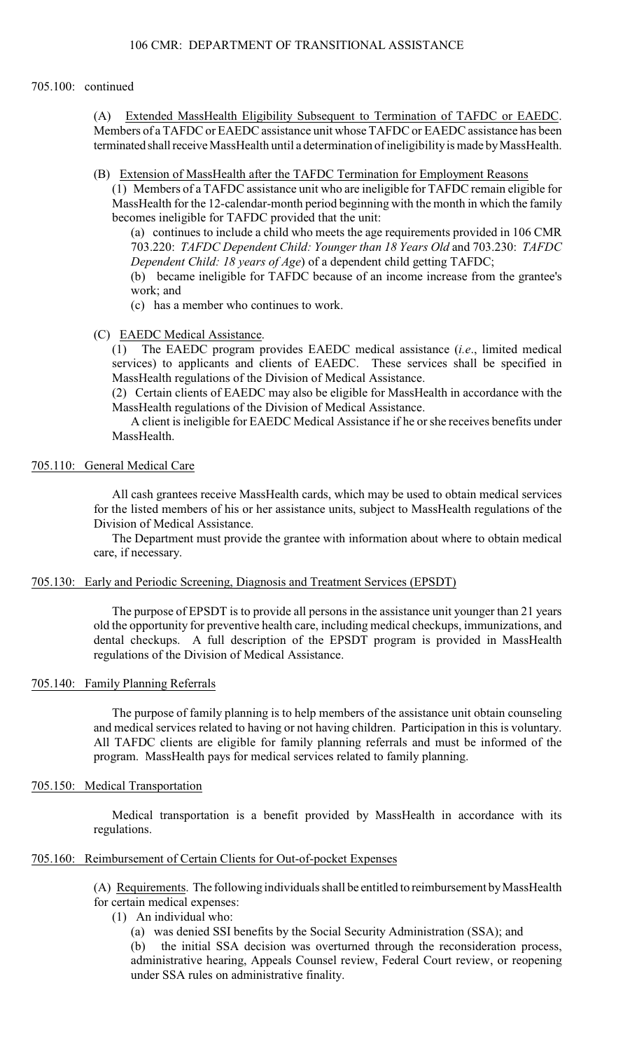### 705.100: continued

(A) Extended MassHealth Eligibility Subsequent to Termination of TAFDC or EAEDC. Members of a TAFDC or EAEDC assistance unit whose TAFDC or EAEDC assistance has been terminated shall receive MassHealth until a determination of ineligibility is made by MassHealth.

(B) Extension of MassHealth after the TAFDC Termination for Employment Reasons

(1) Members of a TAFDC assistance unit who are ineligible for TAFDC remain eligible for MassHealth for the 12-calendar-month period beginning with the month in which the family becomes ineligible for TAFDC provided that the unit:

(a) continues to include a child who meets the age requirements provided in 106 CMR 703.220: *TAFDC Dependent Child: Younger than 18 Years Old* and 703.230: *TAFDC Dependent Child: 18 years of Age*) of a dependent child getting TAFDC;

(b) became ineligible for TAFDC because of an income increase from the grantee's work; and

(c) has a member who continues to work.

(C) EAEDC Medical Assistance.

(1) The EAEDC program provides EAEDC medical assistance (*i.e*., limited medical services) to applicants and clients of EAEDC. These services shall be specified in MassHealth regulations of the Division of Medical Assistance.

(2) Certain clients of EAEDC may also be eligible for MassHealth in accordance with the MassHealth regulations of the Division of Medical Assistance.

A client is ineligible for EAEDC Medical Assistance if he or she receives benefits under MassHealth.

### 705.110: General Medical Care

All cash grantees receive MassHealth cards, which may be used to obtain medical services for the listed members of his or her assistance units, subject to MassHealth regulations of the Division of Medical Assistance.

The Department must provide the grantee with information about where to obtain medical care, if necessary.

### 705.130: Early and Periodic Screening, Diagnosis and Treatment Services (EPSDT)

The purpose of EPSDT is to provide all persons in the assistance unit younger than 21 years old the opportunity for preventive health care, including medical checkups, immunizations, and dental checkups. A full description of the EPSDT program is provided in MassHealth regulations of the Division of Medical Assistance.

# 705.140: Family Planning Referrals

 The purpose of family planning is to help members of the assistance unit obtain counseling and medical services related to having or not having children. Participation in this is voluntary. All TAFDC clients are eligible for family planning referrals and must be informed of the program. MassHealth pays for medical services related to family planning.

### 705.150: Medical Transportation

Medical transportation is a benefit provided by MassHealth in accordance with its regulations.

# 705.160: Reimbursement of Certain Clients for Out-of-pocket Expenses

(A) Requirements. The following individuals shall be entitled to reimbursement by MassHealth for certain medical expenses:

- (1) An individual who:
	- (a) was denied SSI benefits by the Social Security Administration (SSA); and

(b) the initial SSA decision was overturned through the reconsideration process, administrative hearing, Appeals Counsel review, Federal Court review, or reopening under SSA rules on administrative finality.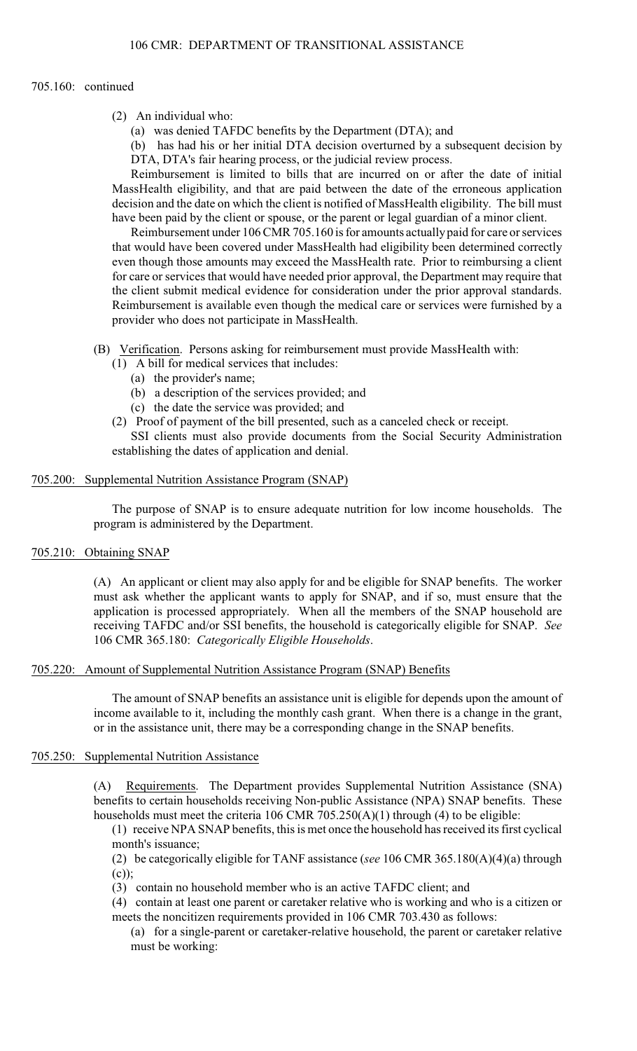### 705.160: continued

- (2) An individual who:
	- (a) was denied TAFDC benefits by the Department (DTA); and
	- (b) has had his or her initial DTA decision overturned by a subsequent decision by DTA, DTA's fair hearing process, or the judicial review process.

Reimbursement is limited to bills that are incurred on or after the date of initial MassHealth eligibility, and that are paid between the date of the erroneous application decision and the date on which the client is notified of MassHealth eligibility. The bill must have been paid by the client or spouse, or the parent or legal guardian of a minor client.

Reimbursement under 106 CMR 705.160 is for amounts actually paid for care or services that would have been covered under MassHealth had eligibility been determined correctly even though those amounts may exceed the MassHealth rate. Prior to reimbursing a client for care or services that would have needed prior approval, the Department may require that the client submit medical evidence for consideration under the prior approval standards. Reimbursement is available even though the medical care or services were furnished by a provider who does not participate in MassHealth.

(B) Verification. Persons asking for reimbursement must provide MassHealth with:

- (1) A bill for medical services that includes:
	- (a) the provider's name;
	- (b) a description of the services provided; and
	- (c) the date the service was provided; and
- (2) Proof of payment of the bill presented, such as a canceled check or receipt.

SSI clients must also provide documents from the Social Security Administration establishing the dates of application and denial.

# 705.200: Supplemental Nutrition Assistance Program (SNAP)

The purpose of SNAP is to ensure adequate nutrition for low income households. The program is administered by the Department.

### 705.210: Obtaining SNAP

(A) An applicant or client may also apply for and be eligible for SNAP benefits. The worker must ask whether the applicant wants to apply for SNAP, and if so, must ensure that the application is processed appropriately. When all the members of the SNAP household are receiving TAFDC and/or SSI benefits, the household is categorically eligible for SNAP. *See*  106 CMR 365.180: *Categorically Eligible Households*.

#### 705.220: Amount of Supplemental Nutrition Assistance Program (SNAP) Benefits

The amount of SNAP benefits an assistance unit is eligible for depends upon the amount of income available to it, including the monthly cash grant. When there is a change in the grant, or in the assistance unit, there may be a corresponding change in the SNAP benefits.

#### 705.250: Supplemental Nutrition Assistance

 benefits to certain households receiving Non-public Assistance (NPA) SNAP benefits. These (A) Requirements. The Department provides Supplemental Nutrition Assistance (SNA) households must meet the criteria 106 CMR 705.250(A)(1) through (4) to be eligible:

(1) receive NPA SNAP benefits, this is met once the household has received its first cyclical month's issuance;

(2) be categorically eligible for TANF assistance (*see* 106 CMR 365.180(A)(4)(a) through (c));

(3) contain no household member who is an active TAFDC client; and

(4) contain at least one parent or caretaker relative who is working and who is a citizen or meets the noncitizen requirements provided in 106 CMR 703.430 as follows:

(a) for a single-parent or caretaker-relative household, the parent or caretaker relative must be working: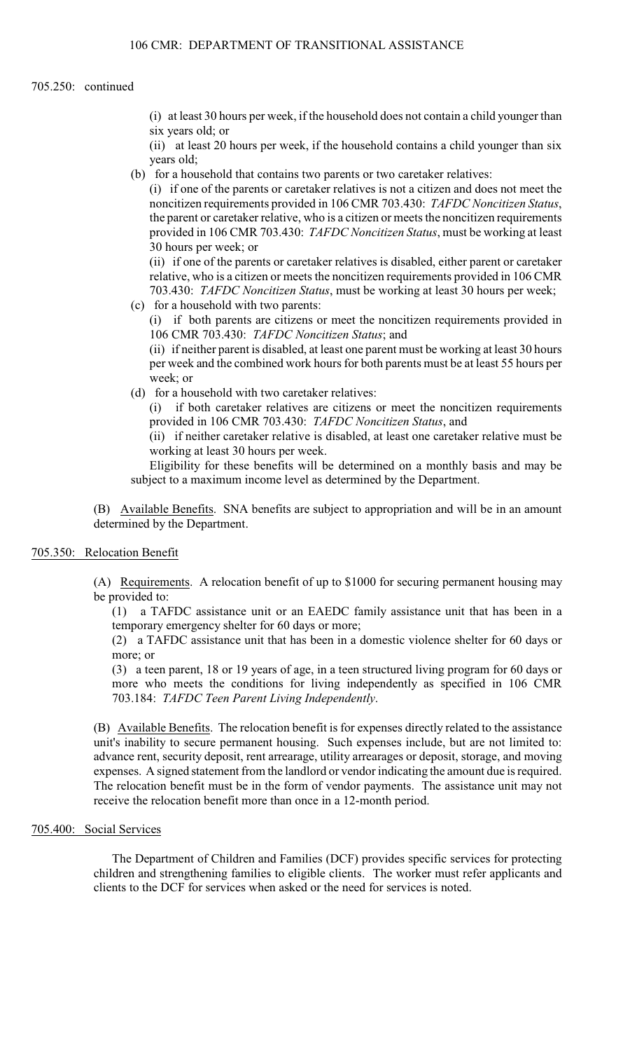#### 705.250: continued

(i) at least 30 hours per week, if the household does not contain a child younger than six years old; or

 (ii) at least 20 hours per week, if the household contains a child younger than six years old;

(b) for a household that contains two parents or two caretaker relatives:

(i) if one of the parents or caretaker relatives is not a citizen and does not meet the noncitizen requirements provided in 106 CMR 703.430: *TAFDC Noncitizen Status*, the parent or caretaker relative, who is a citizen or meets the noncitizen requirements provided in 106 CMR 703.430: *TAFDC Noncitizen Status*, must be working at least 30 hours per week; or

 (ii) if one of the parents or caretaker relatives is disabled, either parent or caretaker relative, who is a citizen or meets the noncitizen requirements provided in 106 CMR 703.430: *TAFDC Noncitizen Status*, must be working at least 30 hours per week;

(c) for a household with two parents:

(i) if both parents are citizens or meet the noncitizen requirements provided in 106 CMR 703.430: *TAFDC Noncitizen Status*; and

(ii) if neither parent is disabled, at least one parent must be working at least 30 hours per week and the combined work hours for both parents must be at least 55 hours per week; or

(d) for a household with two caretaker relatives:

(i) if both caretaker relatives are citizens or meet the noncitizen requirements provided in 106 CMR 703.430: *TAFDC Noncitizen Status*, and

(ii) if neither caretaker relative is disabled, at least one caretaker relative must be working at least 30 hours per week.

Eligibility for these benefits will be determined on a monthly basis and may be subject to a maximum income level as determined by the Department.

(B) Available Benefits. SNA benefits are subject to appropriation and will be in an amount determined by the Department.

### 705.350: Relocation Benefit

(A) Requirements. A relocation benefit of up to \$1000 for securing permanent housing may be provided to:

 (1) a TAFDC assistance unit or an EAEDC family assistance unit that has been in a temporary emergency shelter for 60 days or more;

(2) a TAFDC assistance unit that has been in a domestic violence shelter for 60 days or more; or

(3) a teen parent, 18 or 19 years of age, in a teen structured living program for 60 days or more who meets the conditions for living independently as specified in 106 CMR 703.184: *TAFDC Teen Parent Living Independently*.

(B) Available Benefits. The relocation benefit is for expenses directly related to the assistance unit's inability to secure permanent housing. Such expenses include, but are not limited to: advance rent, security deposit, rent arrearage, utility arrearages or deposit, storage, and moving expenses. A signed statement from the landlord or vendor indicating the amount due is required. The relocation benefit must be in the form of vendor payments. The assistance unit may not receive the relocation benefit more than once in a 12-month period.

## 705.400: Social Services

 children and strengthening families to eligible clients. The worker must refer applicants and The Department of Children and Families (DCF) provides specific services for protecting clients to the DCF for services when asked or the need for services is noted.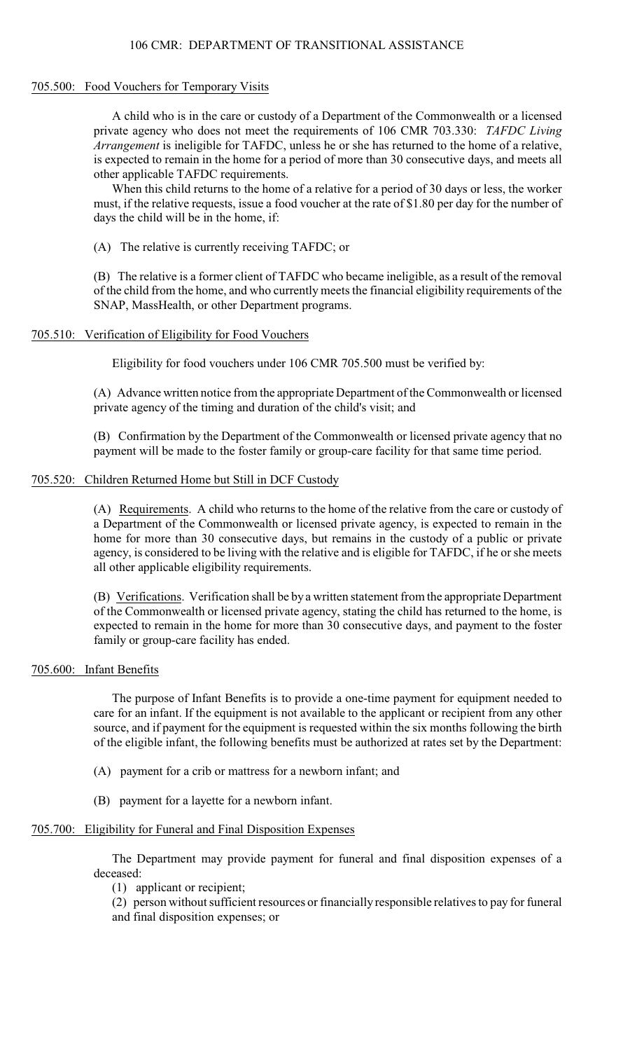## 106 CMR: DEPARTMENT OF TRANSITIONAL ASSISTANCE

#### 705.500: Food Vouchers for Temporary Visits

 is expected to remain in the home for a period of more than 30 consecutive days, and meets all A child who is in the care or custody of a Department of the Commonwealth or a licensed private agency who does not meet the requirements of 106 CMR 703.330: *TAFDC Living Arrangement* is ineligible for TAFDC, unless he or she has returned to the home of a relative, other applicable TAFDC requirements.

When this child returns to the home of a relative for a period of 30 days or less, the worker must, if the relative requests, issue a food voucher at the rate of \$1.80 per day for the number of days the child will be in the home, if:

(A) The relative is currently receiving TAFDC; or

(B) The relative is a former client of TAFDC who became ineligible, as a result of the removal of the child from the home, and who currently meets the financial eligibility requirements of the SNAP, MassHealth, or other Department programs.

### 705.510: Verification of Eligibility for Food Vouchers

Eligibility for food vouchers under 106 CMR 705.500 must be verified by:

(A) Advance written notice from the appropriate Department of the Commonwealth or licensed private agency of the timing and duration of the child's visit; and

(B) Confirmation by the Department of the Commonwealth or licensed private agency that no payment will be made to the foster family or group-care facility for that same time period.

# 705.520: Children Returned Home but Still in DCF Custody

(A) Requirements. A child who returns to the home of the relative from the care or custody of a Department of the Commonwealth or licensed private agency, is expected to remain in the home for more than 30 consecutive days, but remains in the custody of a public or private agency, is considered to be living with the relative and is eligible for TAFDC, if he or she meets all other applicable eligibility requirements.

 of the Commonwealth or licensed private agency, stating the child has returned to the home, is (B) Verifications. Verification shall be by a written statement from the appropriate Department expected to remain in the home for more than 30 consecutive days, and payment to the foster family or group-care facility has ended.

### 705.600: Infant Benefits

The purpose of Infant Benefits is to provide a one-time payment for equipment needed to care for an infant. If the equipment is not available to the applicant or recipient from any other source, and if payment for the equipment is requested within the six months following the birth of the eligible infant, the following benefits must be authorized at rates set by the Department:

- (A) payment for a crib or mattress for a newborn infant; and
- (B) payment for a layette for a newborn infant.

### 705.700: Eligibility for Funeral and Final Disposition Expenses

The Department may provide payment for funeral and final disposition expenses of a deceased:

(1) applicant or recipient;

(2) person without sufficient resources or financially responsible relatives to pay for funeral and final disposition expenses; or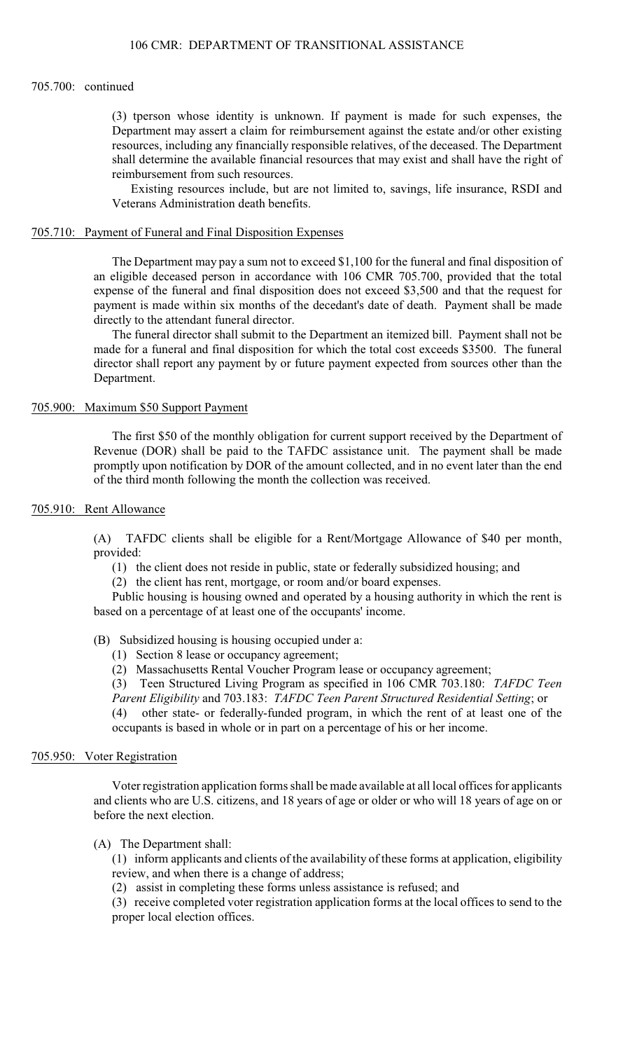#### 705.700: continued

(3) tperson whose identity is unknown. If payment is made for such expenses, the Department may assert a claim for reimbursement against the estate and/or other existing resources, including any financially responsible relatives, of the deceased. The Department shall determine the available financial resources that may exist and shall have the right of reimbursement from such resources.

Existing resources include, but are not limited to, savings, life insurance, RSDI and Veterans Administration death benefits.

## 705.710: Payment of Funeral and Final Disposition Expenses

 The Department may pay a sum not to exceed \$1,100 for the funeral and final disposition of expense of the funeral and final disposition does not exceed \$3,500 and that the request for an eligible deceased person in accordance with 106 CMR 705.700, provided that the total payment is made within six months of the decedant's date of death. Payment shall be made directly to the attendant funeral director.

The funeral director shall submit to the Department an itemized bill. Payment shall not be made for a funeral and final disposition for which the total cost exceeds \$3500. The funeral director shall report any payment by or future payment expected from sources other than the Department.

## 705.900: Maximum \$50 Support Payment

The first \$50 of the monthly obligation for current support received by the Department of Revenue (DOR) shall be paid to the TAFDC assistance unit. The payment shall be made promptly upon notification by DOR of the amount collected, and in no event later than the end of the third month following the month the collection was received.

### 705.910: Rent Allowance

 (A) TAFDC clients shall be eligible for a Rent/Mortgage Allowance of \$40 per month, provided:

- (1) the client does not reside in public, state or federally subsidized housing; and
- (2) the client has rent, mortgage, or room and/or board expenses.

Public housing is housing owned and operated by a housing authority in which the rent is based on a percentage of at least one of the occupants' income.

### (B) Subsidized housing is housing occupied under a:

- (1) Section 8 lease or occupancy agreement;
- (2) Massachusetts Rental Voucher Program lease or occupancy agreement;

(3) Teen Structured Living Program as specified in 106 CMR 703.180: *TAFDC Teen* 

*Parent Eligibility* and 703.183: *TAFDC Teen Parent Structured Residential Setting*; or

 (4) other state- or federally-funded program, in which the rent of at least one of the occupants is based in whole or in part on a percentage of his or her income.

#### 705.950: Voter Registration

 Voter registration application forms shall be made available at all local offices for applicants and clients who are U.S. citizens, and 18 years of age or older or who will 18 years of age on or before the next election.

### (A) The Department shall:

(1) inform applicants and clients of the availability of these forms at application, eligibility review, and when there is a change of address;

(2) assist in completing these forms unless assistance is refused; and

(3) receive completed voter registration application forms at the local offices to send to the proper local election offices.